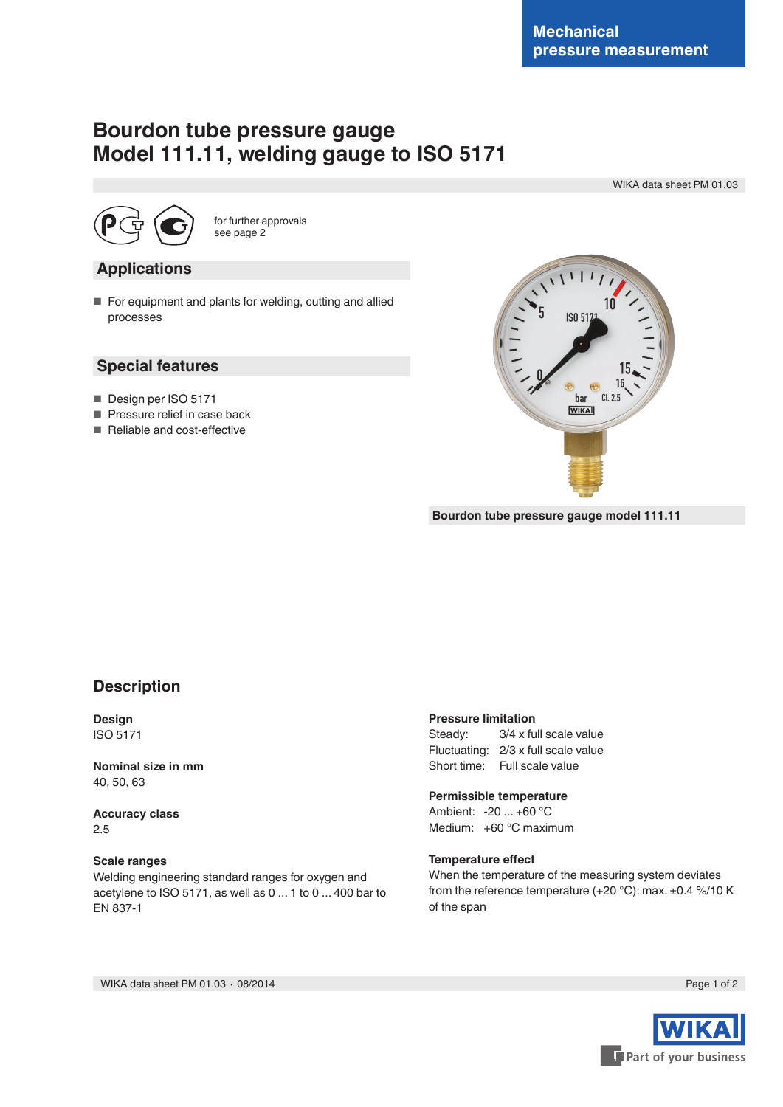# **Bourdon tube pressure gauge Model 111.11, welding gauge to ISO 5171**

WIKA data sheet PM 01.03



for further approvals see page 2

#### **Applications**

■ For equipment and plants for welding, cutting and allied processes

#### **Special features**

- Design per ISO 5171
- Pressure relief in case back
- Reliable and cost-effective



**Bourdon tube pressure gauge model 111.11**

### **Description**

**Design** ISO 5171

**Nominal size in mm** 40, 50, 63

**Accuracy class** 2.5

#### **Scale ranges**

Welding engineering standard ranges for oxygen and acetylene to ISO 5171, as well as 0 ... 1 to 0 ... 400 bar to EN 837-1

#### **Pressure limitation**

Steady: 3/4 x full scale value Fluctuating: 2/3 x full scale value Short time: Full scale value

#### **Permissible temperature**

Ambient: -20 ... +60 °C Medium: +60 °C maximum

#### **Temperature effect**

When the temperature of the measuring system deviates from the reference temperature  $(+20 °C)$ : max.  $\pm 0.4 \% / 10 K$ of the span

WIKA data sheet PM 01.03 ⋅ 08/2014 Page 1 of 2